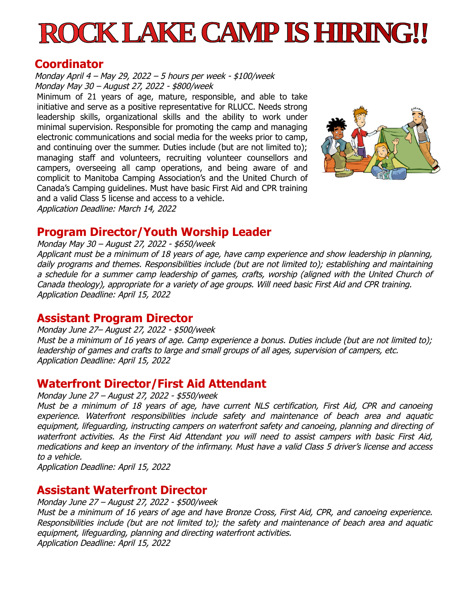# **ROCK LAKE CAMP IS HIRING!!**

#### **Coordinator**

Monday April 4 – May 29, 2022 – 5 hours per week - \$100/week Monday May 30 – August 27, 2022 - \$800/week

Minimum of 21 years of age, mature, responsible, and able to take initiative and serve as a positive representative for RLUCC. Needs strong leadership skills, organizational skills and the ability to work under minimal supervision. Responsible for promoting the camp and managing electronic communications and social media for the weeks prior to camp, and continuing over the summer. Duties include (but are not limited to); managing staff and volunteers, recruiting volunteer counsellors and campers, overseeing all camp operations, and being aware of and complicit to Manitoba Camping Association's and the United Church of Canada's Camping guidelines. Must have basic First Aid and CPR training and a valid Class 5 license and access to a vehicle. Application Deadline: March 14, 2022



**Program Director/Youth Worship Leader**

Monday May 30 – August 27, 2022 - \$650/week

Applicant must be a minimum of 18 years of age, have camp experience and show leadership in planning, daily programs and themes. Responsibilities include (but are not limited to); establishing and maintaining a schedule for a summer camp leadership of games, crafts, worship (aligned with the United Church of Canada theology), appropriate for a variety of age groups. Will need basic First Aid and CPR training. Application Deadline: April 15, 2022

#### **Assistant Program Director**

Monday June 27– August 27, 2022 - \$500/week Must be a minimum of 16 years of age. Camp experience a bonus. Duties include (but are not limited to); leadership of games and crafts to large and small groups of all ages, supervision of campers, etc. Application Deadline: April 15, 2022

# **Waterfront Director/First Aid Attendant**

Monday June 27 – August 27, 2022 - \$550/week

Must be a minimum of 18 years of age, have current NLS certification, First Aid, CPR and canoeing experience. Waterfront responsibilities include safety and maintenance of beach area and aquatic equipment, lifeguarding, instructing campers on waterfront safety and canoeing, planning and directing of waterfront activities. As the First Aid Attendant you will need to assist campers with basic First Aid, medications and keep an inventory of the infirmany. Must have a valid Class 5 driver's license and access to a vehicle.

Application Deadline: April 15, 2022

# **Assistant Waterfront Director**

Monday June 27 – August 27, 2022 - \$500/week Must be a minimum of 16 years of age and have Bronze Cross, First Aid, CPR, and canoeing experience. Responsibilities include (but are not limited to); the safety and maintenance of beach area and aquatic equipment, lifeguarding, planning and directing waterfront activities. Application Deadline: April 15, 2022